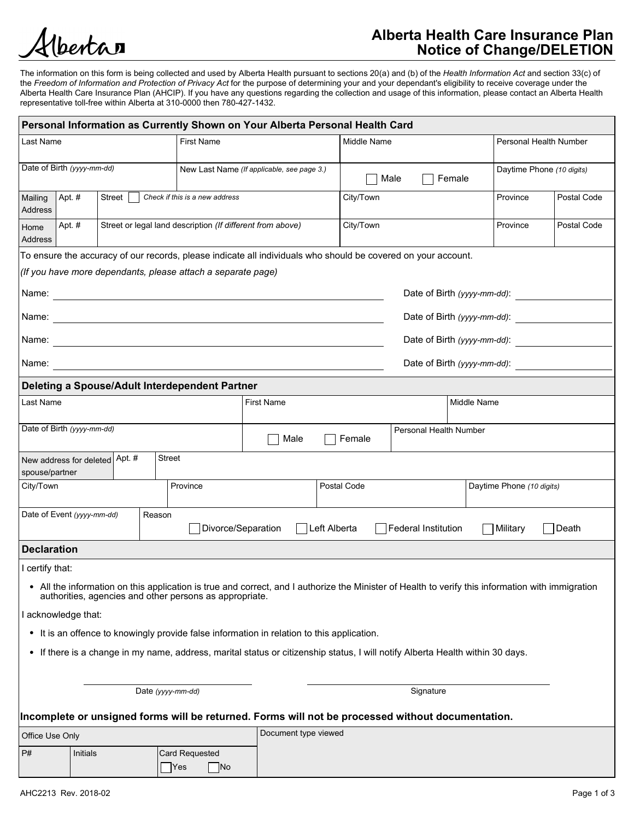

# Alberta Health Care Insurance Plan Notice of Change/DELETION

The information on this form is being collected and used by Alberta Health pursuant to sections 20(a) and (b) of the Health Information Act and section 33(c) of the Freedom of Information and Protection of Privacy Act for the purpose of determining your and your dependant's eligibility to receive coverage under the Alberta Health Care Insurance Plan (AHCIP). If you have any questions regarding the collection and usage of this information, please contact an Alberta Health representative toll-free within Alberta at 310-0000 then 780-427-1432.

| Personal Information as Currently Shown on Your Alberta Personal Health Card<br><b>First Name</b><br>Middle Name<br>Last Name<br>Personal Health Number<br>Date of Birth (yyyy-mm-dd)<br>New Last Name (If applicable, see page 3.)<br>Daytime Phone (10 digits)<br>$\Box$ Male<br>$\Box$ Female<br>Mailing Apt. #<br>Street $\Box$ Check if this is a new address<br>City/Town<br>Province<br>Address<br>Street or legal land description (If different from above)<br>City/Town<br>Apt. #<br>Province<br>Home<br>Address<br>To ensure the accuracy of our records, please indicate all individuals who should be covered on your account.<br>(If you have more dependants, please attach a separate page)<br>Date of Birth (yyyy-mm-dd):<br>Date of Birth (yyyy-mm-dd):<br>Date of Birth (yyyy-mm-dd):<br>Date of Birth (yyyy-mm-dd):<br>Name:<br>Deleting a Spouse/Adult Interdependent Partner<br>Last Name<br>First Name<br>Middle Name<br>Date of Birth (yyyy-mm-dd)<br>Personal Health Number<br>$\Box$ Male<br>$\Box$ Female<br><b>Street</b><br>New address for deleted Apt. #<br>spouse/partner<br>Postal Code<br>Daytime Phone (10 digits)<br>City/Town<br>Province<br>Reason<br>Date of Event (yyyy-mm-dd)<br>□ Divorce/Separation<br>□ Left Alberta<br>$\Box$ Federal Institution<br>$\Box$ Death<br>Military<br><b>Declaration</b><br>certify that:<br>• All the information on this application is true and correct, and I authorize the Minister of Health to verify this information with immigration<br>authorities, agencies and other persons as appropriate.<br>acknowledge that:<br>• It is an offence to knowingly provide false information in relation to this application.<br>• If there is a change in my name, address, marital status or citizenship status, I will notify Alberta Health within 30 days.<br>Date (yyyy-mm-dd)<br>Signature<br>Incomplete or unsigned forms will be returned. Forms will not be processed without documentation.<br>Document type viewed<br>Office Use Only<br>P#<br>Initials<br>Card Requested<br>$\Box$ No<br>Yes<br>AHC2213 Rev. 2018-02<br>Page 1 of 3 | Postal Code<br>Postal Code |
|-------------------------------------------------------------------------------------------------------------------------------------------------------------------------------------------------------------------------------------------------------------------------------------------------------------------------------------------------------------------------------------------------------------------------------------------------------------------------------------------------------------------------------------------------------------------------------------------------------------------------------------------------------------------------------------------------------------------------------------------------------------------------------------------------------------------------------------------------------------------------------------------------------------------------------------------------------------------------------------------------------------------------------------------------------------------------------------------------------------------------------------------------------------------------------------------------------------------------------------------------------------------------------------------------------------------------------------------------------------------------------------------------------------------------------------------------------------------------------------------------------------------------------------------------------------------------------------------------------------------------------------------------------------------------------------------------------------------------------------------------------------------------------------------------------------------------------------------------------------------------------------------------------------------------------------------------------------------------------------------------------------------------------------------------------------------------------------------------------------------------|----------------------------|
|                                                                                                                                                                                                                                                                                                                                                                                                                                                                                                                                                                                                                                                                                                                                                                                                                                                                                                                                                                                                                                                                                                                                                                                                                                                                                                                                                                                                                                                                                                                                                                                                                                                                                                                                                                                                                                                                                                                                                                                                                                                                                                                         |                            |
|                                                                                                                                                                                                                                                                                                                                                                                                                                                                                                                                                                                                                                                                                                                                                                                                                                                                                                                                                                                                                                                                                                                                                                                                                                                                                                                                                                                                                                                                                                                                                                                                                                                                                                                                                                                                                                                                                                                                                                                                                                                                                                                         |                            |
|                                                                                                                                                                                                                                                                                                                                                                                                                                                                                                                                                                                                                                                                                                                                                                                                                                                                                                                                                                                                                                                                                                                                                                                                                                                                                                                                                                                                                                                                                                                                                                                                                                                                                                                                                                                                                                                                                                                                                                                                                                                                                                                         |                            |
|                                                                                                                                                                                                                                                                                                                                                                                                                                                                                                                                                                                                                                                                                                                                                                                                                                                                                                                                                                                                                                                                                                                                                                                                                                                                                                                                                                                                                                                                                                                                                                                                                                                                                                                                                                                                                                                                                                                                                                                                                                                                                                                         |                            |
|                                                                                                                                                                                                                                                                                                                                                                                                                                                                                                                                                                                                                                                                                                                                                                                                                                                                                                                                                                                                                                                                                                                                                                                                                                                                                                                                                                                                                                                                                                                                                                                                                                                                                                                                                                                                                                                                                                                                                                                                                                                                                                                         |                            |
|                                                                                                                                                                                                                                                                                                                                                                                                                                                                                                                                                                                                                                                                                                                                                                                                                                                                                                                                                                                                                                                                                                                                                                                                                                                                                                                                                                                                                                                                                                                                                                                                                                                                                                                                                                                                                                                                                                                                                                                                                                                                                                                         |                            |
|                                                                                                                                                                                                                                                                                                                                                                                                                                                                                                                                                                                                                                                                                                                                                                                                                                                                                                                                                                                                                                                                                                                                                                                                                                                                                                                                                                                                                                                                                                                                                                                                                                                                                                                                                                                                                                                                                                                                                                                                                                                                                                                         |                            |
|                                                                                                                                                                                                                                                                                                                                                                                                                                                                                                                                                                                                                                                                                                                                                                                                                                                                                                                                                                                                                                                                                                                                                                                                                                                                                                                                                                                                                                                                                                                                                                                                                                                                                                                                                                                                                                                                                                                                                                                                                                                                                                                         |                            |
|                                                                                                                                                                                                                                                                                                                                                                                                                                                                                                                                                                                                                                                                                                                                                                                                                                                                                                                                                                                                                                                                                                                                                                                                                                                                                                                                                                                                                                                                                                                                                                                                                                                                                                                                                                                                                                                                                                                                                                                                                                                                                                                         |                            |
|                                                                                                                                                                                                                                                                                                                                                                                                                                                                                                                                                                                                                                                                                                                                                                                                                                                                                                                                                                                                                                                                                                                                                                                                                                                                                                                                                                                                                                                                                                                                                                                                                                                                                                                                                                                                                                                                                                                                                                                                                                                                                                                         |                            |
|                                                                                                                                                                                                                                                                                                                                                                                                                                                                                                                                                                                                                                                                                                                                                                                                                                                                                                                                                                                                                                                                                                                                                                                                                                                                                                                                                                                                                                                                                                                                                                                                                                                                                                                                                                                                                                                                                                                                                                                                                                                                                                                         |                            |
|                                                                                                                                                                                                                                                                                                                                                                                                                                                                                                                                                                                                                                                                                                                                                                                                                                                                                                                                                                                                                                                                                                                                                                                                                                                                                                                                                                                                                                                                                                                                                                                                                                                                                                                                                                                                                                                                                                                                                                                                                                                                                                                         |                            |
|                                                                                                                                                                                                                                                                                                                                                                                                                                                                                                                                                                                                                                                                                                                                                                                                                                                                                                                                                                                                                                                                                                                                                                                                                                                                                                                                                                                                                                                                                                                                                                                                                                                                                                                                                                                                                                                                                                                                                                                                                                                                                                                         |                            |
|                                                                                                                                                                                                                                                                                                                                                                                                                                                                                                                                                                                                                                                                                                                                                                                                                                                                                                                                                                                                                                                                                                                                                                                                                                                                                                                                                                                                                                                                                                                                                                                                                                                                                                                                                                                                                                                                                                                                                                                                                                                                                                                         |                            |
|                                                                                                                                                                                                                                                                                                                                                                                                                                                                                                                                                                                                                                                                                                                                                                                                                                                                                                                                                                                                                                                                                                                                                                                                                                                                                                                                                                                                                                                                                                                                                                                                                                                                                                                                                                                                                                                                                                                                                                                                                                                                                                                         |                            |
|                                                                                                                                                                                                                                                                                                                                                                                                                                                                                                                                                                                                                                                                                                                                                                                                                                                                                                                                                                                                                                                                                                                                                                                                                                                                                                                                                                                                                                                                                                                                                                                                                                                                                                                                                                                                                                                                                                                                                                                                                                                                                                                         |                            |
|                                                                                                                                                                                                                                                                                                                                                                                                                                                                                                                                                                                                                                                                                                                                                                                                                                                                                                                                                                                                                                                                                                                                                                                                                                                                                                                                                                                                                                                                                                                                                                                                                                                                                                                                                                                                                                                                                                                                                                                                                                                                                                                         |                            |
|                                                                                                                                                                                                                                                                                                                                                                                                                                                                                                                                                                                                                                                                                                                                                                                                                                                                                                                                                                                                                                                                                                                                                                                                                                                                                                                                                                                                                                                                                                                                                                                                                                                                                                                                                                                                                                                                                                                                                                                                                                                                                                                         |                            |
|                                                                                                                                                                                                                                                                                                                                                                                                                                                                                                                                                                                                                                                                                                                                                                                                                                                                                                                                                                                                                                                                                                                                                                                                                                                                                                                                                                                                                                                                                                                                                                                                                                                                                                                                                                                                                                                                                                                                                                                                                                                                                                                         |                            |
|                                                                                                                                                                                                                                                                                                                                                                                                                                                                                                                                                                                                                                                                                                                                                                                                                                                                                                                                                                                                                                                                                                                                                                                                                                                                                                                                                                                                                                                                                                                                                                                                                                                                                                                                                                                                                                                                                                                                                                                                                                                                                                                         |                            |
|                                                                                                                                                                                                                                                                                                                                                                                                                                                                                                                                                                                                                                                                                                                                                                                                                                                                                                                                                                                                                                                                                                                                                                                                                                                                                                                                                                                                                                                                                                                                                                                                                                                                                                                                                                                                                                                                                                                                                                                                                                                                                                                         |                            |
|                                                                                                                                                                                                                                                                                                                                                                                                                                                                                                                                                                                                                                                                                                                                                                                                                                                                                                                                                                                                                                                                                                                                                                                                                                                                                                                                                                                                                                                                                                                                                                                                                                                                                                                                                                                                                                                                                                                                                                                                                                                                                                                         |                            |
|                                                                                                                                                                                                                                                                                                                                                                                                                                                                                                                                                                                                                                                                                                                                                                                                                                                                                                                                                                                                                                                                                                                                                                                                                                                                                                                                                                                                                                                                                                                                                                                                                                                                                                                                                                                                                                                                                                                                                                                                                                                                                                                         |                            |
|                                                                                                                                                                                                                                                                                                                                                                                                                                                                                                                                                                                                                                                                                                                                                                                                                                                                                                                                                                                                                                                                                                                                                                                                                                                                                                                                                                                                                                                                                                                                                                                                                                                                                                                                                                                                                                                                                                                                                                                                                                                                                                                         |                            |
|                                                                                                                                                                                                                                                                                                                                                                                                                                                                                                                                                                                                                                                                                                                                                                                                                                                                                                                                                                                                                                                                                                                                                                                                                                                                                                                                                                                                                                                                                                                                                                                                                                                                                                                                                                                                                                                                                                                                                                                                                                                                                                                         |                            |
|                                                                                                                                                                                                                                                                                                                                                                                                                                                                                                                                                                                                                                                                                                                                                                                                                                                                                                                                                                                                                                                                                                                                                                                                                                                                                                                                                                                                                                                                                                                                                                                                                                                                                                                                                                                                                                                                                                                                                                                                                                                                                                                         |                            |
|                                                                                                                                                                                                                                                                                                                                                                                                                                                                                                                                                                                                                                                                                                                                                                                                                                                                                                                                                                                                                                                                                                                                                                                                                                                                                                                                                                                                                                                                                                                                                                                                                                                                                                                                                                                                                                                                                                                                                                                                                                                                                                                         |                            |
|                                                                                                                                                                                                                                                                                                                                                                                                                                                                                                                                                                                                                                                                                                                                                                                                                                                                                                                                                                                                                                                                                                                                                                                                                                                                                                                                                                                                                                                                                                                                                                                                                                                                                                                                                                                                                                                                                                                                                                                                                                                                                                                         |                            |
|                                                                                                                                                                                                                                                                                                                                                                                                                                                                                                                                                                                                                                                                                                                                                                                                                                                                                                                                                                                                                                                                                                                                                                                                                                                                                                                                                                                                                                                                                                                                                                                                                                                                                                                                                                                                                                                                                                                                                                                                                                                                                                                         |                            |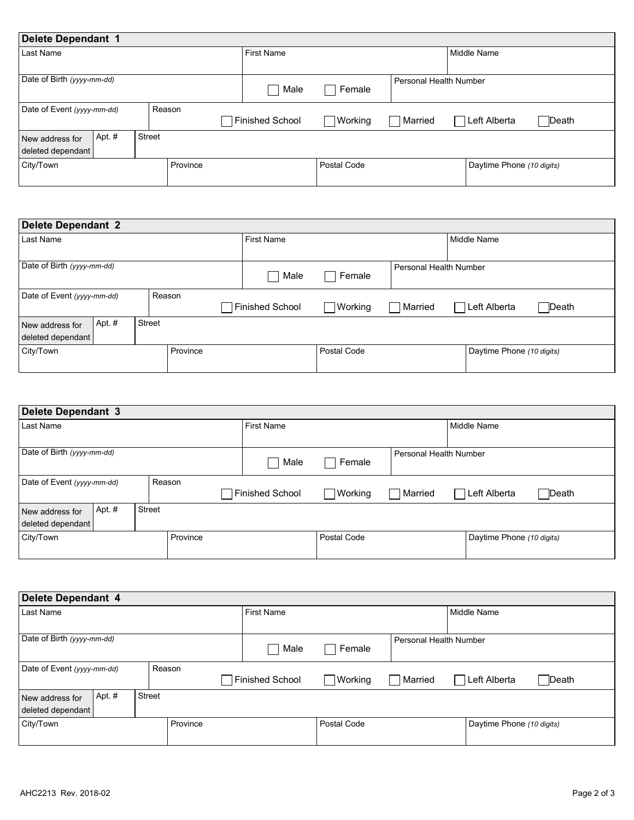| Delete Dependant 1                             |          |                   |                   |                        |                           |              |
|------------------------------------------------|----------|-------------------|-------------------|------------------------|---------------------------|--------------|
| Last Name                                      |          | <b>First Name</b> |                   |                        | <b>Middle Name</b>        |              |
| Date of Birth (yyyy-mm-dd)                     |          | Male              | Female            | Personal Health Number |                           |              |
| Date of Event (yyyy-mm-dd)                     | Reason   | Finished School   | $\exists$ Working | Married                | Left Alberta              | $\Box$ Death |
| Apt. #<br>New address for<br>deleted dependant | Street   |                   |                   |                        |                           |              |
| City/Town                                      | Province |                   | Postal Code       |                        | Daytime Phone (10 digits) |              |

| Delete Dependant 2                                       |          |                   |                |                        |                           |              |
|----------------------------------------------------------|----------|-------------------|----------------|------------------------|---------------------------|--------------|
| Last Name                                                |          | <b>First Name</b> |                |                        | Middle Name               |              |
| Date of Birth (yyyy-mm-dd)                               |          | Male              | Female         | Personal Health Number |                           |              |
| Date of Event (yyyy-mm-dd)                               | Reason   | Finished School   | $\Box$ Working | Married                | Left Alberta              | $\Box$ Death |
| Apt. #<br>Street<br>New address for<br>deleted dependant |          |                   |                |                        |                           |              |
| City/Town                                                | Province |                   | Postal Code    |                        | Daytime Phone (10 digits) |              |

| Delete Dependant 3                             |               |                 |             |                        |                           |              |
|------------------------------------------------|---------------|-----------------|-------------|------------------------|---------------------------|--------------|
| Last Name                                      |               | First Name      |             |                        | Middle Name               |              |
| Date of Birth (yyyy-mm-dd)                     |               | Male            | Female      | Personal Health Number |                           |              |
| Date of Event (yyyy-mm-dd)                     | Reason        | Finished School | Working     | Married                | Left Alberta              | $\Box$ Death |
| Apt. #<br>New address for<br>deleted dependant | <b>Street</b> |                 |             |                        |                           |              |
| City/Town                                      | Province      |                 | Postal Code |                        | Daytime Phone (10 digits) |              |

| Province<br>Daytime Phone (10 digits)<br>Postal Code<br>First Name<br>Middle Name<br>Last Name<br>Personal Health Number<br>Female<br>٦<br>Male<br>Reason<br>$\Box$ Working<br>Finished School<br>Left Alberta<br>$\Box$ Death<br><b>■</b> Married<br>Street<br>Apt. #<br>Province<br>Postal Code<br>Daytime Phone (10 digits) | deleted dependant    |  |  |             |
|--------------------------------------------------------------------------------------------------------------------------------------------------------------------------------------------------------------------------------------------------------------------------------------------------------------------------------|----------------------|--|--|-------------|
| Delete Dependant 4<br>Date of Birth (yyyy-mm-dd)<br>Date of Event (yyyy-mm-dd)<br>New address for<br>deleted dependant<br>City/Town                                                                                                                                                                                            | City/Town            |  |  |             |
|                                                                                                                                                                                                                                                                                                                                |                      |  |  |             |
|                                                                                                                                                                                                                                                                                                                                |                      |  |  |             |
|                                                                                                                                                                                                                                                                                                                                |                      |  |  |             |
|                                                                                                                                                                                                                                                                                                                                |                      |  |  |             |
|                                                                                                                                                                                                                                                                                                                                |                      |  |  |             |
|                                                                                                                                                                                                                                                                                                                                |                      |  |  |             |
|                                                                                                                                                                                                                                                                                                                                |                      |  |  |             |
|                                                                                                                                                                                                                                                                                                                                |                      |  |  |             |
|                                                                                                                                                                                                                                                                                                                                | AHC2213 Rev. 2018-02 |  |  |             |
|                                                                                                                                                                                                                                                                                                                                |                      |  |  | Page 2 of 3 |